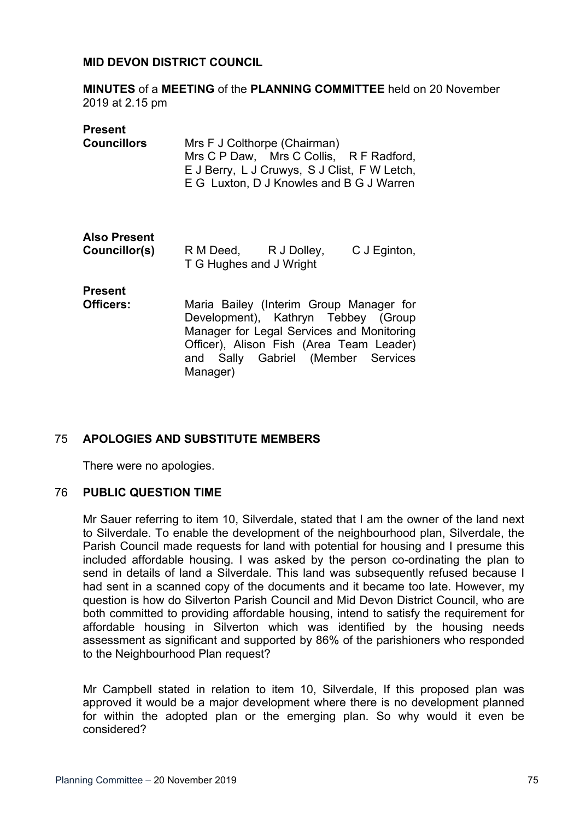### **MID DEVON DISTRICT COUNCIL**

**MINUTES** of a **MEETING** of the **PLANNING COMMITTEE** held on 20 November 2019 at 2.15 pm

#### **Present**

| <b>Councillors</b> | Mrs F J Colthorpe (Chairman)                 |  |
|--------------------|----------------------------------------------|--|
|                    | Mrs C P Daw, Mrs C Collis, R F Radford,      |  |
|                    | E J Berry, L J Cruwys, S J Clist, F W Letch, |  |
|                    | E G Luxton, D J Knowles and B G J Warren     |  |
|                    |                                              |  |

# **Also Present**

| <b>Councillor(s)</b> | R M Deed,               | R J Dolley, | C J Eginton, |
|----------------------|-------------------------|-------------|--------------|
|                      | T G Hughes and J Wright |             |              |

# **Present**

**Officers:** Maria Bailey (Interim Group Manager for Development), Kathryn Tebbey (Group Manager for Legal Services and Monitoring Officer), Alison Fish (Area Team Leader) and Sally Gabriel (Member Services Manager)

# 75 **APOLOGIES AND SUBSTITUTE MEMBERS**

There were no apologies.

### 76 **PUBLIC QUESTION TIME**

Mr Sauer referring to item 10, Silverdale, stated that I am the owner of the land next to Silverdale. To enable the development of the neighbourhood plan, Silverdale, the Parish Council made requests for land with potential for housing and I presume this included affordable housing. I was asked by the person co-ordinating the plan to send in details of land a Silverdale. This land was subsequently refused because I had sent in a scanned copy of the documents and it became too late. However, my question is how do Silverton Parish Council and Mid Devon District Council, who are both committed to providing affordable housing, intend to satisfy the requirement for affordable housing in Silverton which was identified by the housing needs assessment as significant and supported by 86% of the parishioners who responded to the Neighbourhood Plan request?

Mr Campbell stated in relation to item 10, Silverdale, If this proposed plan was approved it would be a major development where there is no development planned for within the adopted plan or the emerging plan. So why would it even be considered?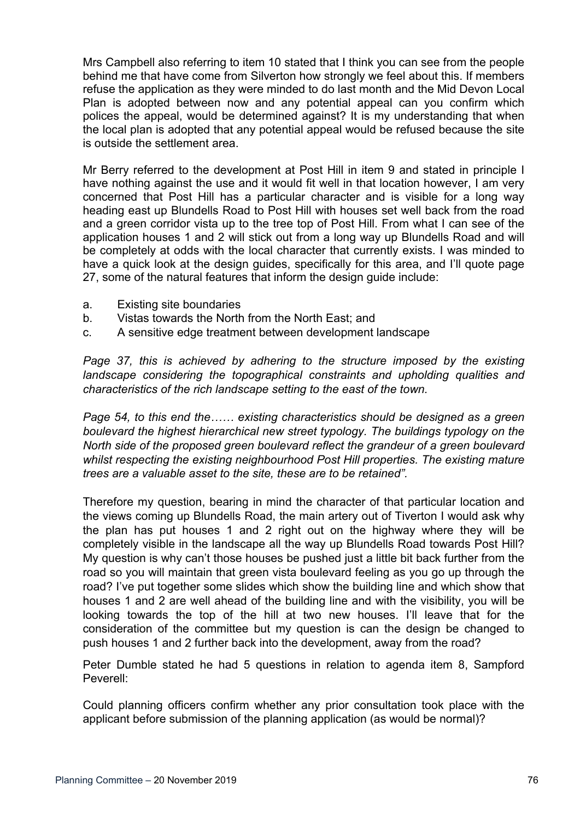Mrs Campbell also referring to item 10 stated that I think you can see from the people behind me that have come from Silverton how strongly we feel about this. If members refuse the application as they were minded to do last month and the Mid Devon Local Plan is adopted between now and any potential appeal can you confirm which polices the appeal, would be determined against? It is my understanding that when the local plan is adopted that any potential appeal would be refused because the site is outside the settlement area.

Mr Berry referred to the development at Post Hill in item 9 and stated in principle I have nothing against the use and it would fit well in that location however, I am very concerned that Post Hill has a particular character and is visible for a long way heading east up Blundells Road to Post Hill with houses set well back from the road and a green corridor vista up to the tree top of Post Hill. From what I can see of the application houses 1 and 2 will stick out from a long way up Blundells Road and will be completely at odds with the local character that currently exists. I was minded to have a quick look at the design guides, specifically for this area, and I'll quote page 27, some of the natural features that inform the design guide include:

- a. Existing site boundaries
- b. Vistas towards the North from the North East; and
- c. A sensitive edge treatment between development landscape

*Page 37, this is achieved by adhering to the structure imposed by the existing landscape considering the topographical constraints and upholding qualities and characteristics of the rich landscape setting to the east of the town.*

*Page 54, to this end the…… existing characteristics should be designed as a green boulevard the highest hierarchical new street typology. The buildings typology on the North side of the proposed green boulevard reflect the grandeur of a green boulevard whilst respecting the existing neighbourhood Post Hill properties. The existing mature trees are a valuable asset to the site, these are to be retained".*

Therefore my question, bearing in mind the character of that particular location and the views coming up Blundells Road, the main artery out of Tiverton I would ask why the plan has put houses 1 and 2 right out on the highway where they will be completely visible in the landscape all the way up Blundells Road towards Post Hill? My question is why can't those houses be pushed just a little bit back further from the road so you will maintain that green vista boulevard feeling as you go up through the road? I've put together some slides which show the building line and which show that houses 1 and 2 are well ahead of the building line and with the visibility, you will be looking towards the top of the hill at two new houses. I'll leave that for the consideration of the committee but my question is can the design be changed to push houses 1 and 2 further back into the development, away from the road?

Peter Dumble stated he had 5 questions in relation to agenda item 8, Sampford Peverell:

Could planning officers confirm whether any prior consultation took place with the applicant before submission of the planning application (as would be normal)?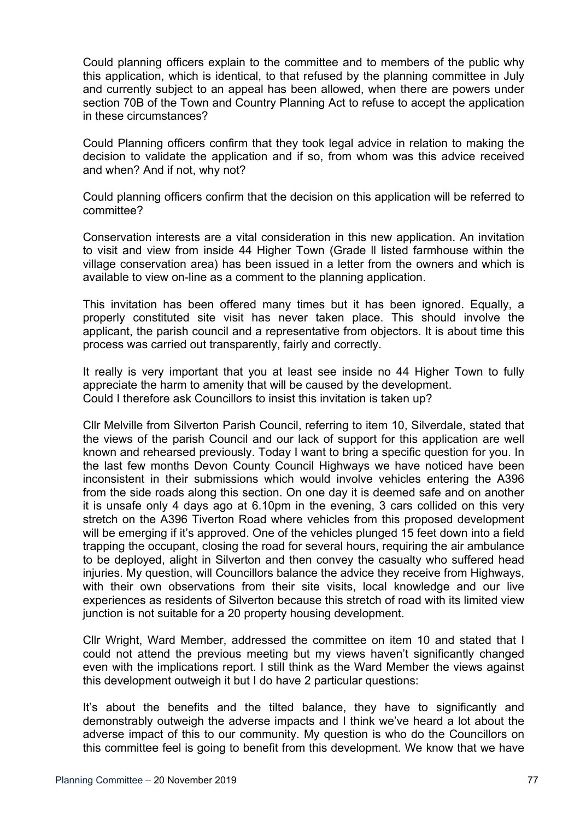Could planning officers explain to the committee and to members of the public why this application, which is identical, to that refused by the planning committee in July and currently subject to an appeal has been allowed, when there are powers under section 70B of the Town and Country Planning Act to refuse to accept the application in these circumstances?

Could Planning officers confirm that they took legal advice in relation to making the decision to validate the application and if so, from whom was this advice received and when? And if not, why not?

Could planning officers confirm that the decision on this application will be referred to committee?

Conservation interests are a vital consideration in this new application. An invitation to visit and view from inside 44 Higher Town (Grade ll listed farmhouse within the village conservation area) has been issued in a letter from the owners and which is available to view on-line as a comment to the planning application.

This invitation has been offered many times but it has been ignored. Equally, a properly constituted site visit has never taken place. This should involve the applicant, the parish council and a representative from objectors. It is about time this process was carried out transparently, fairly and correctly.

It really is very important that you at least see inside no 44 Higher Town to fully appreciate the harm to amenity that will be caused by the development. Could I therefore ask Councillors to insist this invitation is taken up?

Cllr Melville from Silverton Parish Council, referring to item 10, Silverdale, stated that the views of the parish Council and our lack of support for this application are well known and rehearsed previously. Today I want to bring a specific question for you. In the last few months Devon County Council Highways we have noticed have been inconsistent in their submissions which would involve vehicles entering the A396 from the side roads along this section. On one day it is deemed safe and on another it is unsafe only 4 days ago at 6.10pm in the evening, 3 cars collided on this very stretch on the A396 Tiverton Road where vehicles from this proposed development will be emerging if it's approved. One of the vehicles plunged 15 feet down into a field trapping the occupant, closing the road for several hours, requiring the air ambulance to be deployed, alight in Silverton and then convey the casualty who suffered head injuries. My question, will Councillors balance the advice they receive from Highways, with their own observations from their site visits, local knowledge and our live experiences as residents of Silverton because this stretch of road with its limited view junction is not suitable for a 20 property housing development.

Cllr Wright, Ward Member, addressed the committee on item 10 and stated that I could not attend the previous meeting but my views haven't significantly changed even with the implications report. I still think as the Ward Member the views against this development outweigh it but I do have 2 particular questions:

It's about the benefits and the tilted balance, they have to significantly and demonstrably outweigh the adverse impacts and I think we've heard a lot about the adverse impact of this to our community. My question is who do the Councillors on this committee feel is going to benefit from this development. We know that we have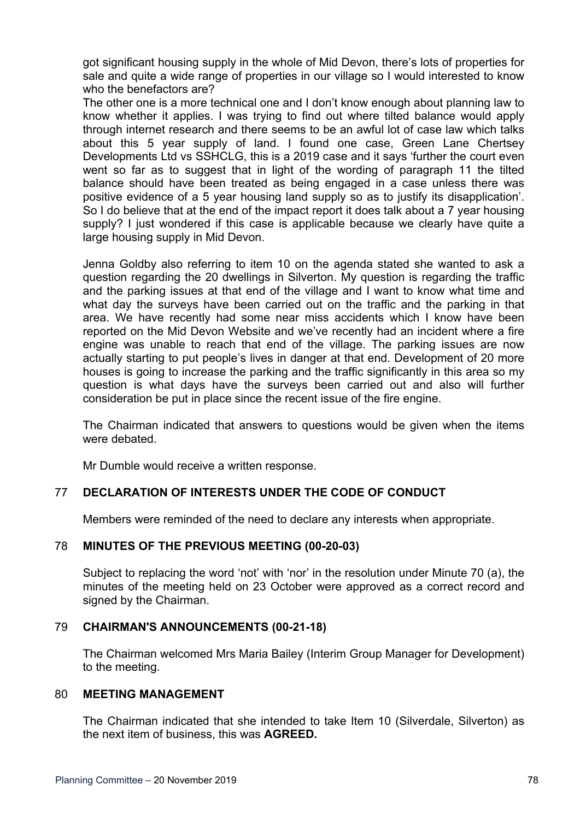got significant housing supply in the whole of Mid Devon, there's lots of properties for sale and quite a wide range of properties in our village so I would interested to know who the benefactors are?

The other one is a more technical one and I don't know enough about planning law to know whether it applies. I was trying to find out where tilted balance would apply through internet research and there seems to be an awful lot of case law which talks about this 5 year supply of land. I found one case, Green Lane Chertsey Developments Ltd vs SSHCLG, this is a 2019 case and it says 'further the court even went so far as to suggest that in light of the wording of paragraph 11 the tilted balance should have been treated as being engaged in a case unless there was positive evidence of a 5 year housing land supply so as to justify its disapplication'. So I do believe that at the end of the impact report it does talk about a 7 year housing supply? I just wondered if this case is applicable because we clearly have quite a large housing supply in Mid Devon.

Jenna Goldby also referring to item 10 on the agenda stated she wanted to ask a question regarding the 20 dwellings in Silverton. My question is regarding the traffic and the parking issues at that end of the village and I want to know what time and what day the surveys have been carried out on the traffic and the parking in that area. We have recently had some near miss accidents which I know have been reported on the Mid Devon Website and we've recently had an incident where a fire engine was unable to reach that end of the village. The parking issues are now actually starting to put people's lives in danger at that end. Development of 20 more houses is going to increase the parking and the traffic significantly in this area so my question is what days have the surveys been carried out and also will further consideration be put in place since the recent issue of the fire engine.

The Chairman indicated that answers to questions would be given when the items were debated

Mr Dumble would receive a written response.

## 77 **DECLARATION OF INTERESTS UNDER THE CODE OF CONDUCT**

Members were reminded of the need to declare any interests when appropriate.

## 78 **MINUTES OF THE PREVIOUS MEETING (00-20-03)**

Subject to replacing the word 'not' with 'nor' in the resolution under Minute 70 (a), the minutes of the meeting held on 23 October were approved as a correct record and signed by the Chairman.

## 79 **CHAIRMAN'S ANNOUNCEMENTS (00-21-18)**

The Chairman welcomed Mrs Maria Bailey (Interim Group Manager for Development) to the meeting.

#### 80 **MEETING MANAGEMENT**

The Chairman indicated that she intended to take Item 10 (Silverdale, Silverton) as the next item of business, this was **AGREED.**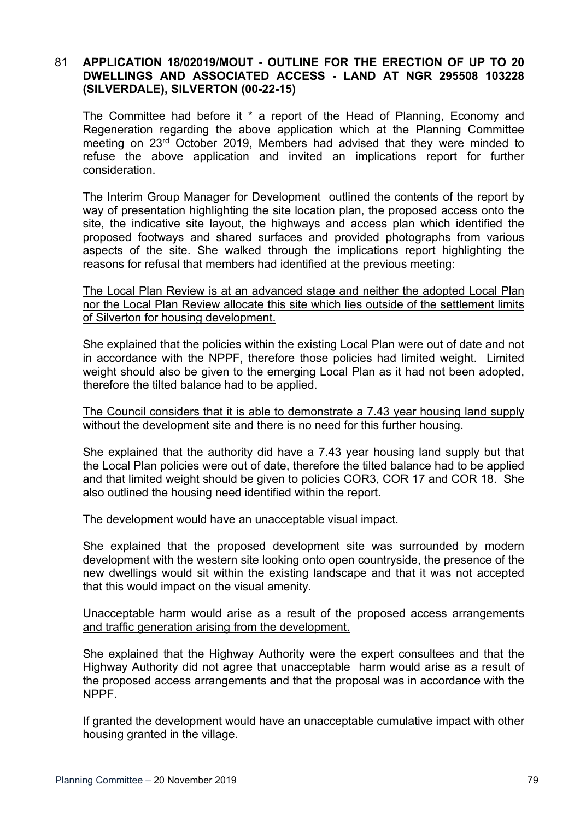# 81 **APPLICATION 18/02019/MOUT - OUTLINE FOR THE ERECTION OF UP TO 20 DWELLINGS AND ASSOCIATED ACCESS - LAND AT NGR 295508 103228 (SILVERDALE), SILVERTON (00-22-15)**

The Committee had before it \* a report of the Head of Planning, Economy and Regeneration regarding the above application which at the Planning Committee meeting on 23rd October 2019, Members had advised that they were minded to refuse the above application and invited an implications report for further consideration.

The Interim Group Manager for Development outlined the contents of the report by way of presentation highlighting the site location plan, the proposed access onto the site, the indicative site layout, the highways and access plan which identified the proposed footways and shared surfaces and provided photographs from various aspects of the site. She walked through the implications report highlighting the reasons for refusal that members had identified at the previous meeting:

The Local Plan Review is at an advanced stage and neither the adopted Local Plan nor the Local Plan Review allocate this site which lies outside of the settlement limits of Silverton for housing development.

She explained that the policies within the existing Local Plan were out of date and not in accordance with the NPPF, therefore those policies had limited weight. Limited weight should also be given to the emerging Local Plan as it had not been adopted, therefore the tilted balance had to be applied.

The Council considers that it is able to demonstrate a 7.43 year housing land supply without the development site and there is no need for this further housing.

She explained that the authority did have a 7.43 year housing land supply but that the Local Plan policies were out of date, therefore the tilted balance had to be applied and that limited weight should be given to policies COR3, COR 17 and COR 18. She also outlined the housing need identified within the report.

#### The development would have an unacceptable visual impact.

She explained that the proposed development site was surrounded by modern development with the western site looking onto open countryside, the presence of the new dwellings would sit within the existing landscape and that it was not accepted that this would impact on the visual amenity.

#### Unacceptable harm would arise as a result of the proposed access arrangements and traffic generation arising from the development.

She explained that the Highway Authority were the expert consultees and that the Highway Authority did not agree that unacceptable harm would arise as a result of the proposed access arrangements and that the proposal was in accordance with the NPPF.

If granted the development would have an unacceptable cumulative impact with other housing granted in the village.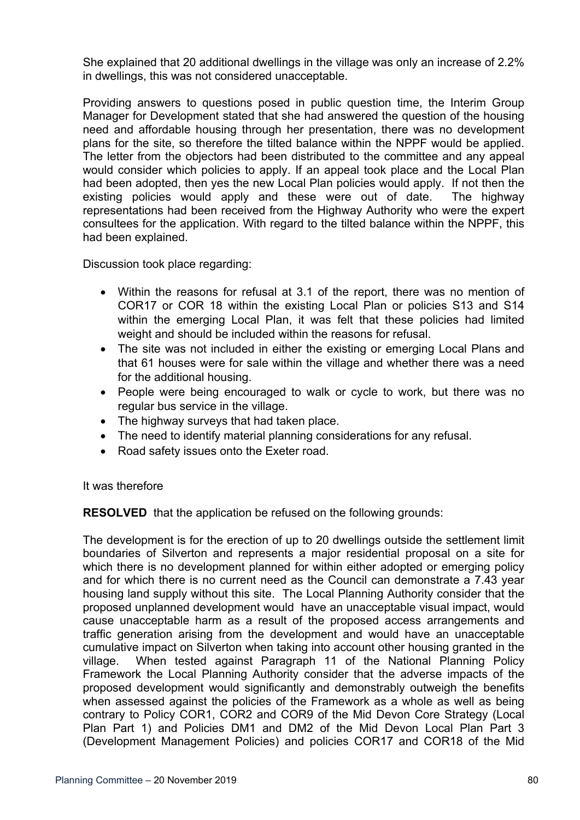She explained that 20 additional dwellings in the village was only an increase of 2.2% in dwellings, this was not considered unacceptable.

Providing answers to questions posed in public question time, the Interim Group Manager for Development stated that she had answered the question of the housing need and affordable housing through her presentation, there was no development plans for the site, so therefore the tilted balance within the NPPF would be applied. The letter from the objectors had been distributed to the committee and any appeal would consider which policies to apply. If an appeal took place and the Local Plan had been adopted, then yes the new Local Plan policies would apply. If not then the existing policies would apply and these were out of date. The highway representations had been received from the Highway Authority who were the expert consultees for the application. With regard to the tilted balance within the NPPF, this had been explained.

Discussion took place regarding:

- Within the reasons for refusal at 3.1 of the report, there was no mention of COR17 or COR 18 within the existing Local Plan or policies S13 and S14 within the emerging Local Plan, it was felt that these policies had limited weight and should be included within the reasons for refusal.
- The site was not included in either the existing or emerging Local Plans and that 61 houses were for sale within the village and whether there was a need for the additional housing.
- People were being encouraged to walk or cycle to work, but there was no regular bus service in the village.
- The highway surveys that had taken place.
- The need to identify material planning considerations for any refusal.
- Road safety issues onto the Exeter road.

It was therefore

**RESOLVED** that the application be refused on the following grounds:

The development is for the erection of up to 20 dwellings outside the settlement limit boundaries of Silverton and represents a major residential proposal on a site for which there is no development planned for within either adopted or emerging policy and for which there is no current need as the Council can demonstrate a 7.43 year housing land supply without this site. The Local Planning Authority consider that the proposed unplanned development would have an unacceptable visual impact, would cause unacceptable harm as a result of the proposed access arrangements and traffic generation arising from the development and would have an unacceptable cumulative impact on Silverton when taking into account other housing granted in the village. When tested against Paragraph 11 of the National Planning Policy Framework the Local Planning Authority consider that the adverse impacts of the proposed development would significantly and demonstrably outweigh the benefits when assessed against the policies of the Framework as a whole as well as being contrary to Policy COR1, COR2 and COR9 of the Mid Devon Core Strategy (Local Plan Part 1) and Policies DM1 and DM2 of the Mid Devon Local Plan Part 3 (Development Management Policies) and policies COR17 and COR18 of the Mid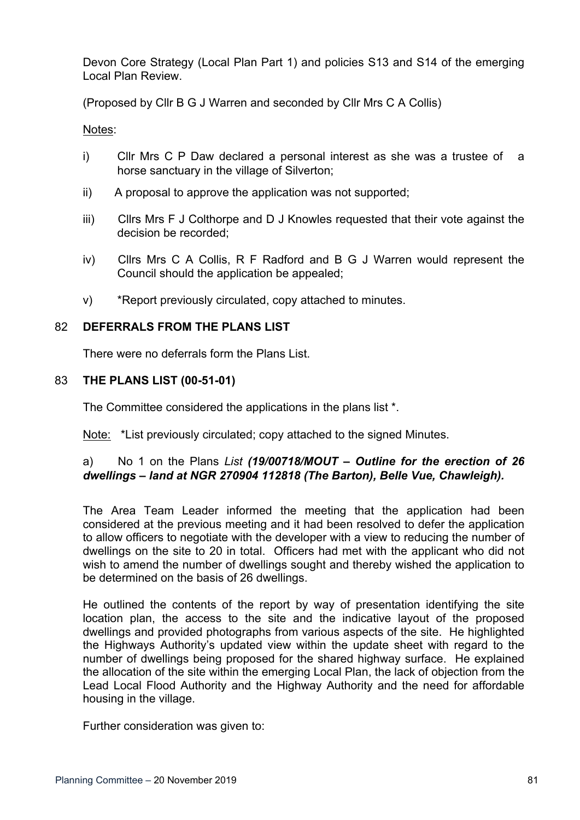Devon Core Strategy (Local Plan Part 1) and policies S13 and S14 of the emerging Local Plan Review.

(Proposed by Cllr B G J Warren and seconded by Cllr Mrs C A Collis)

Notes:

- i) Cllr Mrs C P Daw declared a personal interest as she was a trustee of a horse sanctuary in the village of Silverton;
- ii) A proposal to approve the application was not supported;
- iii) Cllrs Mrs F J Colthorpe and D J Knowles requested that their vote against the decision be recorded;
- iv) Cllrs Mrs C A Collis, R F Radford and B G J Warren would represent the Council should the application be appealed;
- v) \*Report previously circulated, copy attached to minutes.

# 82 **DEFERRALS FROM THE PLANS LIST**

There were no deferrals form the Plans List.

# 83 **THE PLANS LIST (00-51-01)**

The Committee considered the applications in the plans list \*.

Note: \*List previously circulated; copy attached to the signed Minutes.

# a) No 1 on the Plans *List (19/00718/MOUT – Outline for the erection of 26 dwellings – land at NGR 270904 112818 (The Barton), Belle Vue, Chawleigh).*

The Area Team Leader informed the meeting that the application had been considered at the previous meeting and it had been resolved to defer the application to allow officers to negotiate with the developer with a view to reducing the number of dwellings on the site to 20 in total. Officers had met with the applicant who did not wish to amend the number of dwellings sought and thereby wished the application to be determined on the basis of 26 dwellings.

He outlined the contents of the report by way of presentation identifying the site location plan, the access to the site and the indicative layout of the proposed dwellings and provided photographs from various aspects of the site. He highlighted the Highways Authority's updated view within the update sheet with regard to the number of dwellings being proposed for the shared highway surface. He explained the allocation of the site within the emerging Local Plan, the lack of objection from the Lead Local Flood Authority and the Highway Authority and the need for affordable housing in the village.

Further consideration was given to: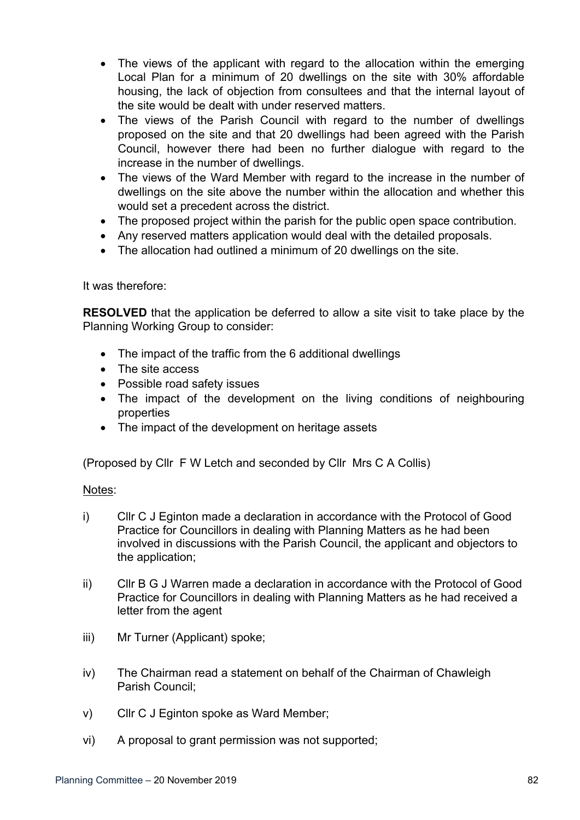- The views of the applicant with regard to the allocation within the emerging Local Plan for a minimum of 20 dwellings on the site with 30% affordable housing, the lack of objection from consultees and that the internal layout of the site would be dealt with under reserved matters.
- The views of the Parish Council with regard to the number of dwellings proposed on the site and that 20 dwellings had been agreed with the Parish Council, however there had been no further dialogue with regard to the increase in the number of dwellings.
- The views of the Ward Member with regard to the increase in the number of dwellings on the site above the number within the allocation and whether this would set a precedent across the district.
- The proposed project within the parish for the public open space contribution.
- Any reserved matters application would deal with the detailed proposals.
- The allocation had outlined a minimum of 20 dwellings on the site.

It was therefore:

**RESOLVED** that the application be deferred to allow a site visit to take place by the Planning Working Group to consider:

- The impact of the traffic from the 6 additional dwellings
- The site access
- Possible road safety issues
- The impact of the development on the living conditions of neighbouring properties
- The impact of the development on heritage assets

(Proposed by Cllr F W Letch and seconded by Cllr Mrs C A Collis)

Notes:

- i) Cllr C J Eginton made a declaration in accordance with the Protocol of Good Practice for Councillors in dealing with Planning Matters as he had been involved in discussions with the Parish Council, the applicant and objectors to the application;
- ii) Cllr B G J Warren made a declaration in accordance with the Protocol of Good Practice for Councillors in dealing with Planning Matters as he had received a letter from the agent
- iii) Mr Turner (Applicant) spoke;
- iv) The Chairman read a statement on behalf of the Chairman of Chawleigh Parish Council;
- v) Cllr C J Eginton spoke as Ward Member;
- vi) A proposal to grant permission was not supported;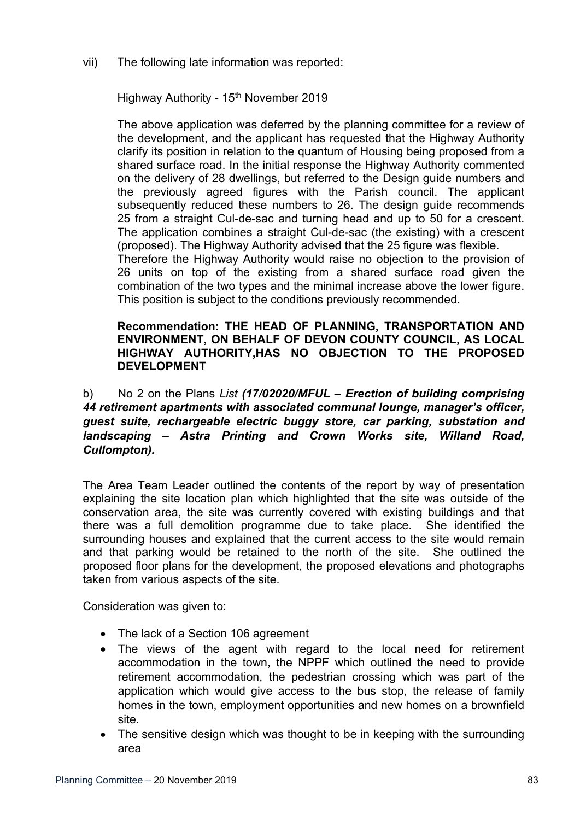### vii) The following late information was reported:

Highway Authority - 15<sup>th</sup> November 2019

The above application was deferred by the planning committee for a review of the development, and the applicant has requested that the Highway Authority clarify its position in relation to the quantum of Housing being proposed from a shared surface road. In the initial response the Highway Authority commented on the delivery of 28 dwellings, but referred to the Design guide numbers and the previously agreed figures with the Parish council. The applicant subsequently reduced these numbers to 26. The design guide recommends 25 from a straight Cul-de-sac and turning head and up to 50 for a crescent. The application combines a straight Cul-de-sac (the existing) with a crescent (proposed). The Highway Authority advised that the 25 figure was flexible. Therefore the Highway Authority would raise no objection to the provision of

26 units on top of the existing from a shared surface road given the combination of the two types and the minimal increase above the lower figure. This position is subject to the conditions previously recommended.

## **Recommendation: THE HEAD OF PLANNING, TRANSPORTATION AND ENVIRONMENT, ON BEHALF OF DEVON COUNTY COUNCIL, AS LOCAL HIGHWAY AUTHORITY,HAS NO OBJECTION TO THE PROPOSED DEVELOPMENT**

b) No 2 on the Plans *List (17/02020/MFUL – Erection of building comprising 44 retirement apartments with associated communal lounge, manager's officer, guest suite, rechargeable electric buggy store, car parking, substation and landscaping – Astra Printing and Crown Works site, Willand Road, Cullompton).*

The Area Team Leader outlined the contents of the report by way of presentation explaining the site location plan which highlighted that the site was outside of the conservation area, the site was currently covered with existing buildings and that there was a full demolition programme due to take place. She identified the surrounding houses and explained that the current access to the site would remain and that parking would be retained to the north of the site. She outlined the proposed floor plans for the development, the proposed elevations and photographs taken from various aspects of the site.

Consideration was given to:

- The lack of a Section 106 agreement
- The views of the agent with regard to the local need for retirement accommodation in the town, the NPPF which outlined the need to provide retirement accommodation, the pedestrian crossing which was part of the application which would give access to the bus stop, the release of family homes in the town, employment opportunities and new homes on a brownfield site.
- The sensitive design which was thought to be in keeping with the surrounding area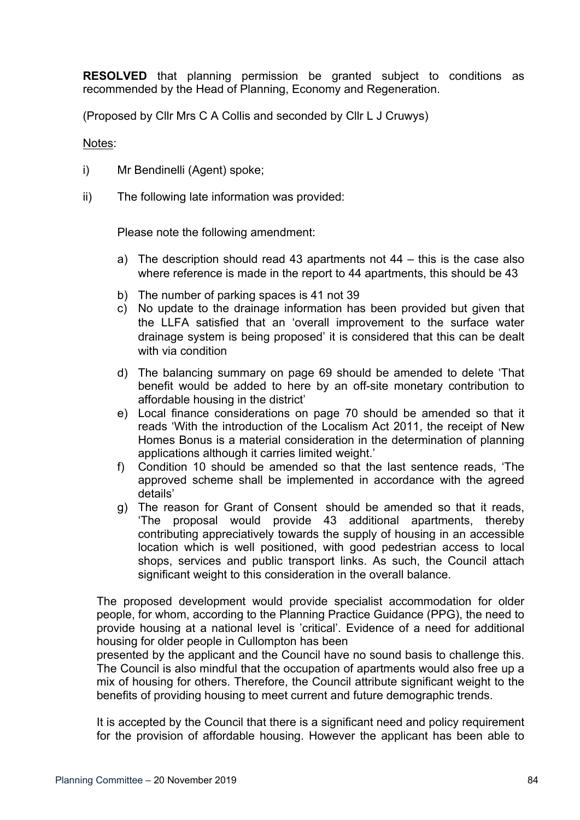**RESOLVED** that planning permission be granted subject to conditions as recommended by the Head of Planning, Economy and Regeneration.

(Proposed by Cllr Mrs C A Collis and seconded by Cllr L J Cruwys)

Notes:

- i) Mr Bendinelli (Agent) spoke;
- ii) The following late information was provided:

Please note the following amendment:

- a) The description should read 43 apartments not 44 this is the case also where reference is made in the report to 44 apartments, this should be 43
- b) The number of parking spaces is 41 not 39
- c) No update to the drainage information has been provided but given that the LLFA satisfied that an 'overall improvement to the surface water drainage system is being proposed' it is considered that this can be dealt with via condition
- d) The balancing summary on page 69 should be amended to delete 'That benefit would be added to here by an off-site monetary contribution to affordable housing in the district'
- e) Local finance considerations on page 70 should be amended so that it reads 'With the introduction of the Localism Act 2011, the receipt of New Homes Bonus is a material consideration in the determination of planning applications although it carries limited weight.'
- f) Condition 10 should be amended so that the last sentence reads, 'The approved scheme shall be implemented in accordance with the agreed details'
- g) The reason for Grant of Consent should be amended so that it reads, 'The proposal would provide 43 additional apartments, thereby contributing appreciatively towards the supply of housing in an accessible location which is well positioned, with good pedestrian access to local shops, services and public transport links. As such, the Council attach significant weight to this consideration in the overall balance.

The proposed development would provide specialist accommodation for older people, for whom, according to the Planning Practice Guidance (PPG), the need to provide housing at a national level is 'critical'. Evidence of a need for additional housing for older people in Cullompton has been

presented by the applicant and the Council have no sound basis to challenge this. The Council is also mindful that the occupation of apartments would also free up a mix of housing for others. Therefore, the Council attribute significant weight to the benefits of providing housing to meet current and future demographic trends.

It is accepted by the Council that there is a significant need and policy requirement for the provision of affordable housing. However the applicant has been able to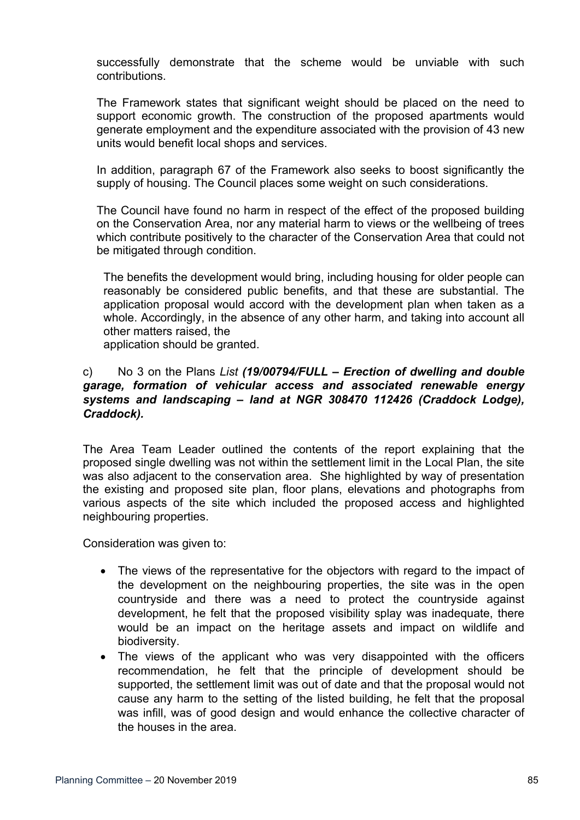successfully demonstrate that the scheme would be unviable with such contributions.

The Framework states that significant weight should be placed on the need to support economic growth. The construction of the proposed apartments would generate employment and the expenditure associated with the provision of 43 new units would benefit local shops and services.

In addition, paragraph 67 of the Framework also seeks to boost significantly the supply of housing. The Council places some weight on such considerations.

The Council have found no harm in respect of the effect of the proposed building on the Conservation Area, nor any material harm to views or the wellbeing of trees which contribute positively to the character of the Conservation Area that could not be mitigated through condition.

The benefits the development would bring, including housing for older people can reasonably be considered public benefits, and that these are substantial. The application proposal would accord with the development plan when taken as a whole. Accordingly, in the absence of any other harm, and taking into account all other matters raised, the

application should be granted.

# c) No 3 on the Plans *List (19/00794/FULL – Erection of dwelling and double garage, formation of vehicular access and associated renewable energy systems and landscaping – land at NGR 308470 112426 (Craddock Lodge), Craddock).*

The Area Team Leader outlined the contents of the report explaining that the proposed single dwelling was not within the settlement limit in the Local Plan, the site was also adjacent to the conservation area. She highlighted by way of presentation the existing and proposed site plan, floor plans, elevations and photographs from various aspects of the site which included the proposed access and highlighted neighbouring properties.

Consideration was given to:

- The views of the representative for the objectors with regard to the impact of the development on the neighbouring properties, the site was in the open countryside and there was a need to protect the countryside against development, he felt that the proposed visibility splay was inadequate, there would be an impact on the heritage assets and impact on wildlife and biodiversity.
- The views of the applicant who was very disappointed with the officers recommendation, he felt that the principle of development should be supported, the settlement limit was out of date and that the proposal would not cause any harm to the setting of the listed building, he felt that the proposal was infill, was of good design and would enhance the collective character of the houses in the area.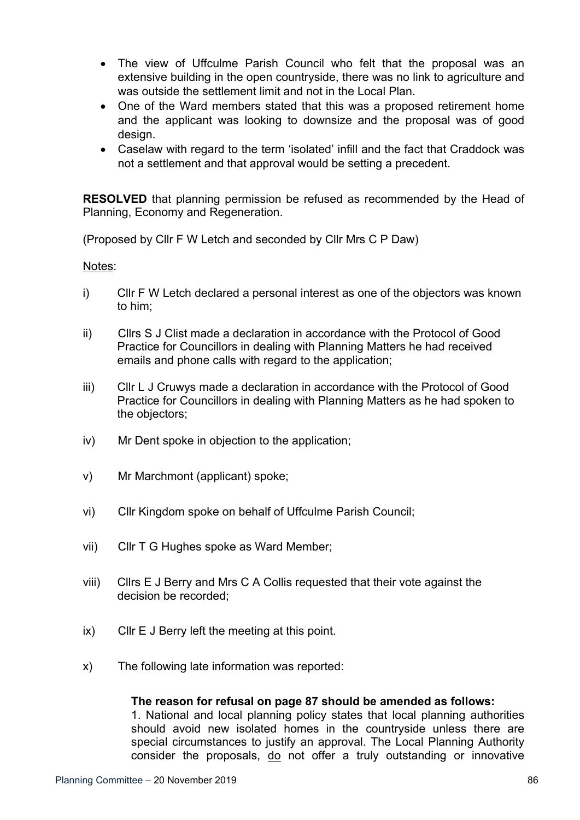- The view of Uffculme Parish Council who felt that the proposal was an extensive building in the open countryside, there was no link to agriculture and was outside the settlement limit and not in the Local Plan.
- One of the Ward members stated that this was a proposed retirement home and the applicant was looking to downsize and the proposal was of good design.
- Caselaw with regard to the term 'isolated' infill and the fact that Craddock was not a settlement and that approval would be setting a precedent.

**RESOLVED** that planning permission be refused as recommended by the Head of Planning, Economy and Regeneration.

(Proposed by Cllr F W Letch and seconded by Cllr Mrs C P Daw)

Notes:

- i) Cllr F W Letch declared a personal interest as one of the objectors was known to him;
- ii) Cllrs S J Clist made a declaration in accordance with the Protocol of Good Practice for Councillors in dealing with Planning Matters he had received emails and phone calls with regard to the application;
- iii) Cllr L J Cruwys made a declaration in accordance with the Protocol of Good Practice for Councillors in dealing with Planning Matters as he had spoken to the objectors;
- iv) Mr Dent spoke in objection to the application;
- v) Mr Marchmont (applicant) spoke;
- vi) Cllr Kingdom spoke on behalf of Uffculme Parish Council;
- vii) Cllr T G Hughes spoke as Ward Member;
- viii) Cllrs E J Berry and Mrs C A Collis requested that their vote against the decision be recorded;
- ix) Cllr E J Berry left the meeting at this point.
- x) The following late information was reported:

#### **The reason for refusal on page 87 should be amended as follows:**

1. National and local planning policy states that local planning authorities should avoid new isolated homes in the countryside unless there are special circumstances to justify an approval. The Local Planning Authority consider the proposals, do not offer a truly outstanding or innovative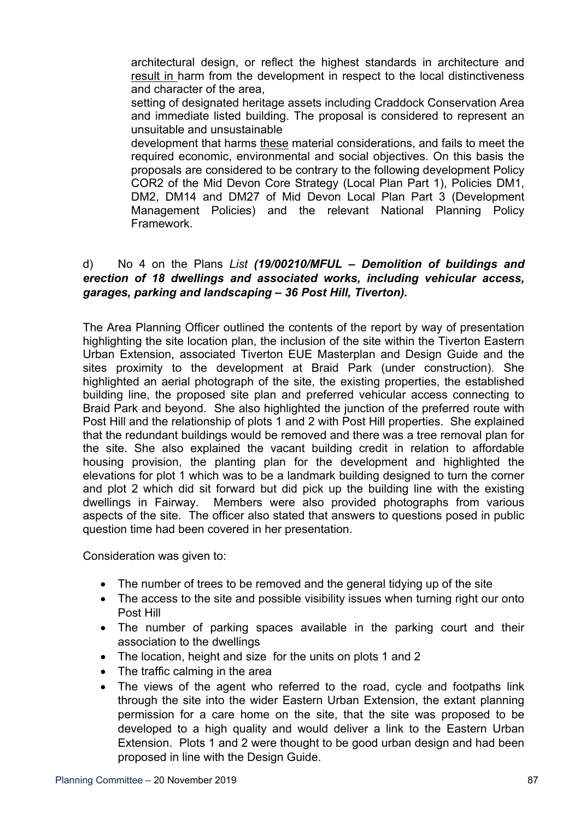architectural design, or reflect the highest standards in architecture and result in harm from the development in respect to the local distinctiveness and character of the area,

setting of designated heritage assets including Craddock Conservation Area and immediate listed building. The proposal is considered to represent an unsuitable and unsustainable

development that harms these material considerations, and fails to meet the required economic, environmental and social objectives. On this basis the proposals are considered to be contrary to the following development Policy COR2 of the Mid Devon Core Strategy (Local Plan Part 1), Policies DM1, DM2, DM14 and DM27 of Mid Devon Local Plan Part 3 (Development Management Policies) and the relevant National Planning Policy Framework.

# d) No 4 on the Plans *List (19/00210/MFUL – Demolition of buildings and erection of 18 dwellings and associated works, including vehicular access, garages, parking and landscaping – 36 Post Hill, Tiverton).*

The Area Planning Officer outlined the contents of the report by way of presentation highlighting the site location plan, the inclusion of the site within the Tiverton Eastern Urban Extension, associated Tiverton EUE Masterplan and Design Guide and the sites proximity to the development at Braid Park (under construction). She highlighted an aerial photograph of the site, the existing properties, the established building line, the proposed site plan and preferred vehicular access connecting to Braid Park and beyond. She also highlighted the junction of the preferred route with Post Hill and the relationship of plots 1 and 2 with Post Hill properties. She explained that the redundant buildings would be removed and there was a tree removal plan for the site. She also explained the vacant building credit in relation to affordable housing provision, the planting plan for the development and highlighted the elevations for plot 1 which was to be a landmark building designed to turn the corner and plot 2 which did sit forward but did pick up the building line with the existing dwellings in Fairway. Members were also provided photographs from various aspects of the site. The officer also stated that answers to questions posed in public question time had been covered in her presentation.

Consideration was given to:

- The number of trees to be removed and the general tidying up of the site
- The access to the site and possible visibility issues when turning right our onto Post Hill
- The number of parking spaces available in the parking court and their association to the dwellings
- The location, height and size for the units on plots 1 and 2
- The traffic calming in the area
- The views of the agent who referred to the road, cycle and footpaths link through the site into the wider Eastern Urban Extension, the extant planning permission for a care home on the site, that the site was proposed to be developed to a high quality and would deliver a link to the Eastern Urban Extension. Plots 1 and 2 were thought to be good urban design and had been proposed in line with the Design Guide.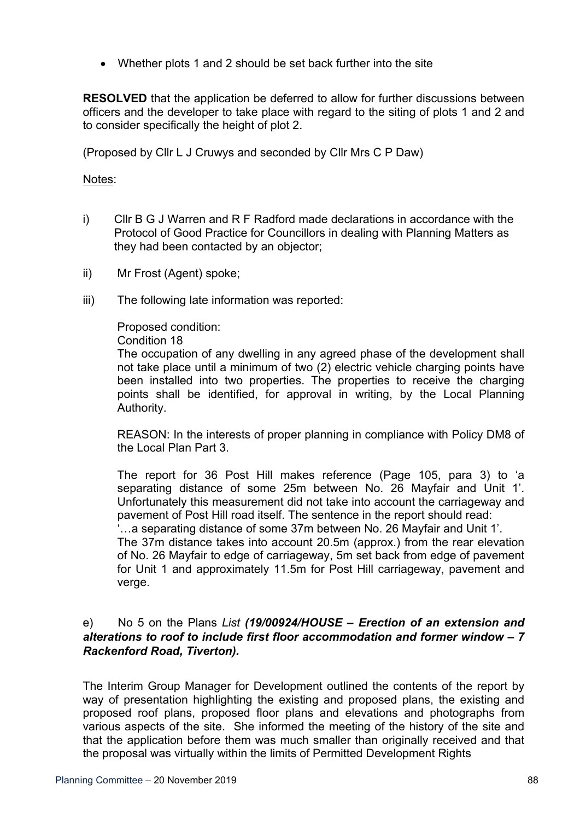• Whether plots 1 and 2 should be set back further into the site

**RESOLVED** that the application be deferred to allow for further discussions between officers and the developer to take place with regard to the siting of plots 1 and 2 and to consider specifically the height of plot 2.

(Proposed by Cllr L J Cruwys and seconded by Cllr Mrs C P Daw)

### Notes:

- i) Cllr B G J Warren and R F Radford made declarations in accordance with the Protocol of Good Practice for Councillors in dealing with Planning Matters as they had been contacted by an objector;
- ii) Mr Frost (Agent) spoke;
- iii) The following late information was reported:

Proposed condition:

Condition 18

The occupation of any dwelling in any agreed phase of the development shall not take place until a minimum of two (2) electric vehicle charging points have been installed into two properties. The properties to receive the charging points shall be identified, for approval in writing, by the Local Planning Authority.

REASON: In the interests of proper planning in compliance with Policy DM8 of the Local Plan Part 3.

The report for 36 Post Hill makes reference (Page 105, para 3) to 'a separating distance of some 25m between No. 26 Mayfair and Unit 1'. Unfortunately this measurement did not take into account the carriageway and pavement of Post Hill road itself. The sentence in the report should read:

'…a separating distance of some 37m between No. 26 Mayfair and Unit 1'. The 37m distance takes into account 20.5m (approx.) from the rear elevation of No. 26 Mayfair to edge of carriageway, 5m set back from edge of pavement for Unit 1 and approximately 11.5m for Post Hill carriageway, pavement and verge.

# e) No 5 on the Plans *List (19/00924/HOUSE – Erection of an extension and alterations to roof to include first floor accommodation and former window – 7 Rackenford Road, Tiverton).*

The Interim Group Manager for Development outlined the contents of the report by way of presentation highlighting the existing and proposed plans, the existing and proposed roof plans, proposed floor plans and elevations and photographs from various aspects of the site. She informed the meeting of the history of the site and that the application before them was much smaller than originally received and that the proposal was virtually within the limits of Permitted Development Rights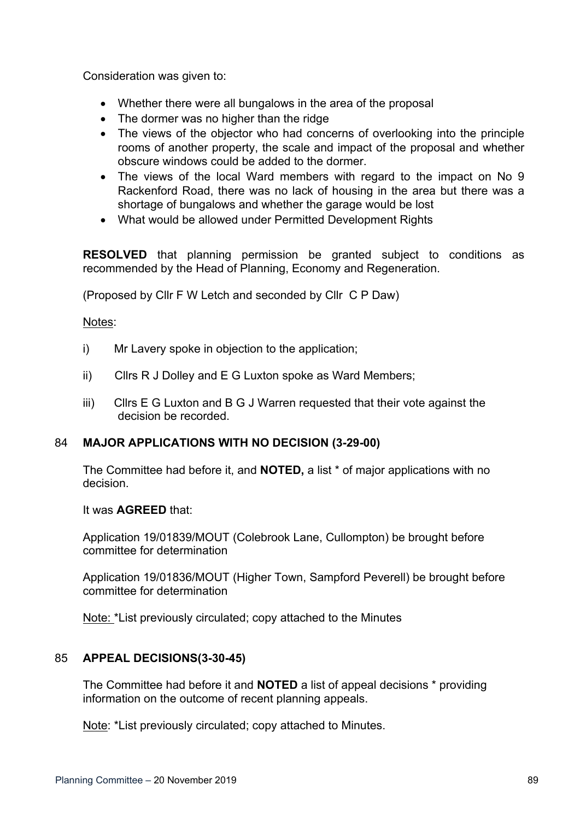Consideration was given to:

- Whether there were all bungalows in the area of the proposal
- The dormer was no higher than the ridge
- The views of the objector who had concerns of overlooking into the principle rooms of another property, the scale and impact of the proposal and whether obscure windows could be added to the dormer.
- The views of the local Ward members with regard to the impact on No 9 Rackenford Road, there was no lack of housing in the area but there was a shortage of bungalows and whether the garage would be lost
- What would be allowed under Permitted Development Rights

**RESOLVED** that planning permission be granted subject to conditions as recommended by the Head of Planning, Economy and Regeneration.

(Proposed by Cllr F W Letch and seconded by Cllr C P Daw)

Notes:

- i) Mr Lavery spoke in objection to the application;
- ii) Cllrs R J Dolley and E G Luxton spoke as Ward Members;
- iii) Cllrs E G Luxton and B G J Warren requested that their vote against the decision be recorded.

# 84 **MAJOR APPLICATIONS WITH NO DECISION (3-29-00)**

The Committee had before it, and **NOTED,** a list \* of major applications with no decision.

It was **AGREED** that:

Application 19/01839/MOUT (Colebrook Lane, Cullompton) be brought before committee for determination

Application 19/01836/MOUT (Higher Town, Sampford Peverell) be brought before committee for determination

Note: \*List previously circulated; copy attached to the Minutes

# 85 **APPEAL DECISIONS(3-30-45)**

The Committee had before it and **NOTED** a list of appeal decisions \* providing information on the outcome of recent planning appeals.

Note: \*List previously circulated; copy attached to Minutes.